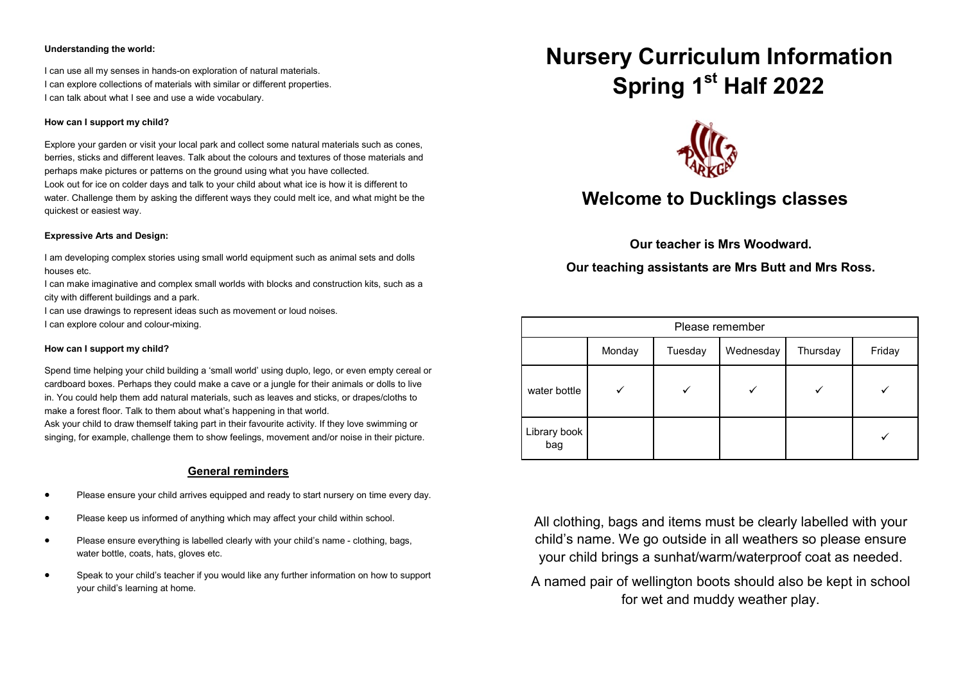#### **Understanding the world:**

I can use all my senses in hands-on exploration of natural materials. I can explore collections of materials with similar or different properties. I can talk about what I see and use a wide vocabulary.

#### **How can I support my child?**

Explore your garden or visit your local park and collect some natural materials such as cones, berries, sticks and different leaves. Talk about the colours and textures of those materials and perhaps make pictures or patterns on the ground using what you have collected. Look out for ice on colder days and talk to your child about what ice is how it is different to

water. Challenge them by asking the different ways they could melt ice, and what might be the quickest or easiest way.

#### **Expressive Arts and Design:**

I am developing complex stories using small world equipment such as animal sets and dolls houses etc.

I can make imaginative and complex small worlds with blocks and construction kits, such as a city with different buildings and a park.

I can use drawings to represent ideas such as movement or loud noises.

I can explore colour and colour-mixing.

#### **How can I support my child?**

Spend time helping your child building a 'small world' using duplo, lego, or even empty cereal or cardboard boxes. Perhaps they could make a cave or a jungle for their animals or dolls to live in. You could help them add natural materials, such as leaves and sticks, or drapes/cloths to make a forest floor. Talk to them about what's happening in that world.

Ask your child to draw themself taking part in their favourite activity. If they love swimming or singing, for example, challenge them to show feelings, movement and/or noise in their picture.

## **General reminders**

- Please ensure your child arrives equipped and ready to start nursery on time every day.
- Please keep us informed of anything which may affect your child within school.
- Please ensure everything is labelled clearly with your child's name clothing, bags, water bottle, coats, hats, gloves etc.
- Speak to your child's teacher if you would like any further information on how to support your child's learning at home.

# **Nursery Curriculum Information Spring 1st Half 2022**



# **Welcome to Ducklings classes**

**Our teacher is Mrs Woodward.**

**Our teaching assistants are Mrs Butt and Mrs Ross.**

| Please remember     |        |         |           |          |        |
|---------------------|--------|---------|-----------|----------|--------|
|                     | Monday | Tuesday | Wednesday | Thursday | Friday |
| water bottle        |        |         |           |          |        |
| Library book<br>bag |        |         |           |          |        |

All clothing, bags and items must be clearly labelled with your child's name. We go outside in all weathers so please ensure your child brings a sunhat/warm/waterproof coat as needed.

A named pair of wellington boots should also be kept in school for wet and muddy weather play.